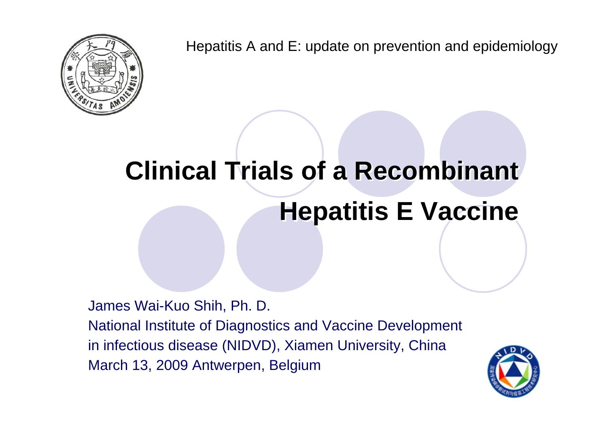Hepatitis A and E: update on prevention and epidemiology

# **Clinical Trials of a Recombinant Clinical Trials of a Recombinant Hepatitis E Vaccine Hepatitis E Vaccine**

James Wai-Kuo Shih, Ph. D. National Institute of Diagnostics and Vaccine Development in infectious disease (NIDVD), Xiamen University, China March 13, 2009 Antwerpen, Belgium

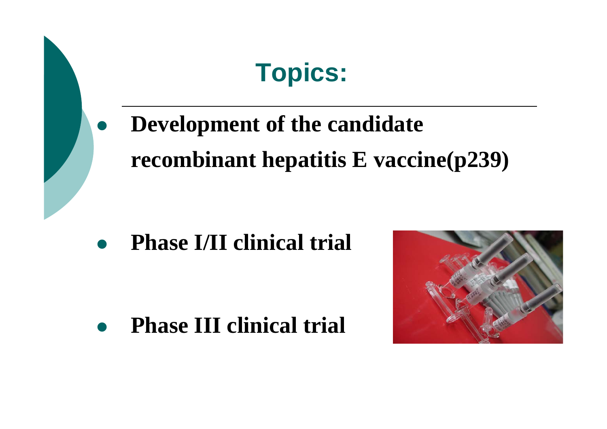

 $\bullet$ **Phase III clinical trial**

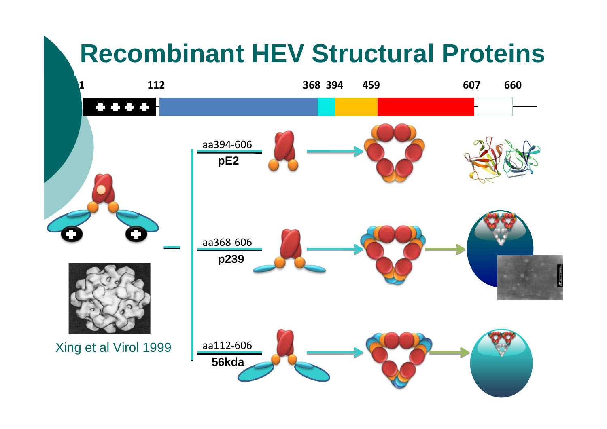## **Recombinant HEV Structural Proteins**

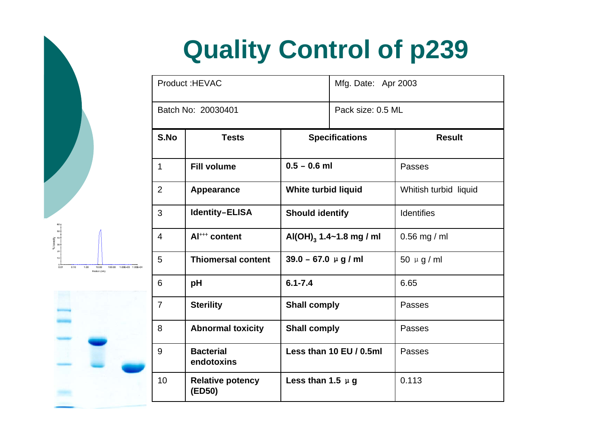# **Quality Control of p239**

| Product: HEVAC     |                                   |                                     | Mfg. Date: Apr 2003 |                       |  |  |
|--------------------|-----------------------------------|-------------------------------------|---------------------|-----------------------|--|--|
| Batch No: 20030401 |                                   |                                     | Pack size: 0.5 ML   |                       |  |  |
| S.No               | <b>Tests</b>                      | <b>Specifications</b>               |                     | <b>Result</b>         |  |  |
| $\mathbf{1}$       | <b>Fill volume</b>                | $0.5 - 0.6$ ml                      |                     | Passes                |  |  |
| $\overline{2}$     | Appearance                        | White turbid liquid                 |                     | Whitish turbid liquid |  |  |
| 3                  | <b>Identity-ELISA</b>             | <b>Should identify</b>              |                     | <b>Identifies</b>     |  |  |
| $\overline{4}$     | Al <sup>+++</sup> content         | Al(OH) <sub>3</sub> 1.4~1.8 mg / ml |                     | $0.56$ mg / ml        |  |  |
| 5                  | <b>Thiomersal content</b>         | $39.0 - 67.0 \mu g/ml$              |                     | 50 $\mu$ g / ml       |  |  |
| 6                  | pH                                | $6.1 - 7.4$                         |                     | 6.65                  |  |  |
| $\overline{7}$     | <b>Sterility</b>                  | <b>Shall comply</b>                 |                     | Passes                |  |  |
| 8                  | <b>Abnormal toxicity</b>          | <b>Shall comply</b>                 |                     | Passes                |  |  |
| 9                  | <b>Bacterial</b><br>endotoxins    | Less than 10 EU / 0.5ml             |                     | Passes                |  |  |
| 10                 | <b>Relative potency</b><br>(ED50) | Less than 1.5 $\mu$ g               |                     | 0.113                 |  |  |

 $0.01$  $0.10$  $1.00$ 10.00 100.00 1.00E+03 1.00E+04 Radius (nm)

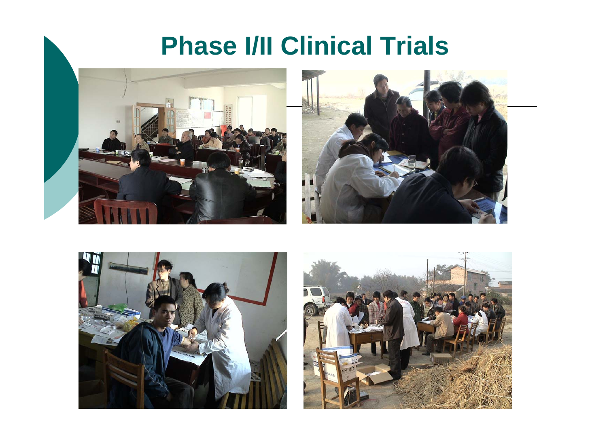### **Phase I/II Clinical Trials**







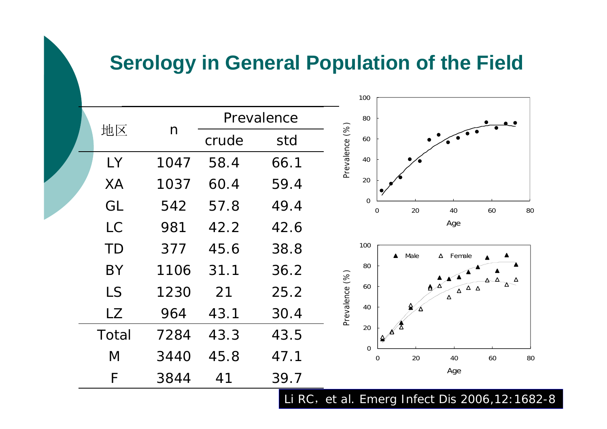### **Serology in General Population of the Field**

|  |           |              |            |       |                | 100                     |                  |      |                                    |    |    |
|--|-----------|--------------|------------|-------|----------------|-------------------------|------------------|------|------------------------------------|----|----|
|  | 地区        | $\mathsf{n}$ | Prevalence |       |                | 80                      |                  |      |                                    |    |    |
|  |           |              |            | crude | std            | Prevalence (%)          | 60               |      |                                    |    |    |
|  | LY        | 1047         | 58.4       | 66.1  |                | 40                      |                  |      |                                    |    |    |
|  | <b>XA</b> | 1037         | 60.4       | 59.4  |                | 20                      |                  |      |                                    |    |    |
|  | GL        | 542          | 57.8       | 49.4  |                | $\mathbf 0$<br>$\Omega$ |                  | 20   | 40                                 | 60 | 80 |
|  | <b>LC</b> | 981          | 42.2       | 42.6  |                |                         |                  |      | Age                                |    |    |
|  | <b>TD</b> | 377          | 45.6       | 38.8  |                | 100                     | $\blacktriangle$ | Male | $\Delta$ Female                    |    |    |
|  | <b>BY</b> | 1106         | 31.1       | 36.2  |                | 80                      |                  |      |                                    |    |    |
|  | <b>LS</b> | 1230         | 21         | 25.2  |                | 60                      |                  |      | $\Delta$ $\Delta$<br>$\Delta$<br>Δ |    |    |
|  | <b>LZ</b> | 964          | 43.1       | 30.4  | Prevalence (%) | 40                      |                  |      |                                    |    |    |
|  | Total     | 7284         | 43.3       | 43.5  |                | 20                      |                  |      |                                    |    |    |
|  | M         | 3440         | 45.8       | 47.1  |                | $\boldsymbol{0}$        | $\boldsymbol{0}$ | 20   | 40                                 | 60 | 80 |
|  | F         | 3844         | 41         | 39.7  |                |                         |                  |      | Age                                |    |    |

Li RC, et al. *Emerg Infect Dis* 2006,12:1682-8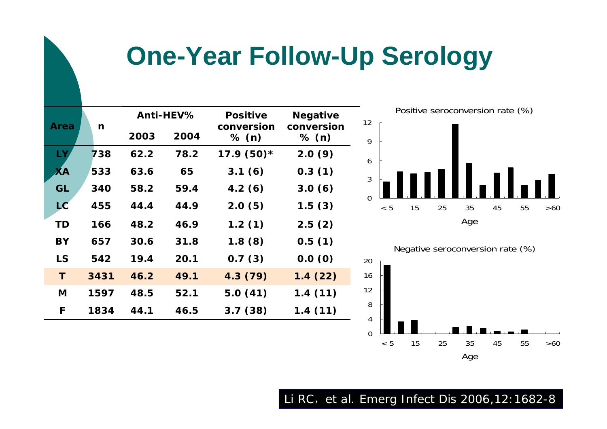## **One-Year Follow-Up Serology**

|           |      | Anti-HEV% |      | <b>Positive</b>     | <b>Negative</b>     |  |
|-----------|------|-----------|------|---------------------|---------------------|--|
| Area      | n    | 2003      | 2004 | conversion<br>% (n) | conversion<br>% (n) |  |
| LY,       | 738  | 62.2      | 78.2 | $17.9(50)$ *        | 2.0(9)              |  |
| XА        | 533  | 63.6      | 65   | 3.1(6)              | 0.3(1)              |  |
| <b>GL</b> | 340  | 58.2      | 59.4 | 4.2(6)              | 3.0(6)              |  |
| LC        | 455  | 44.4      | 44.9 | 2.0(5)              | 1.5(3)              |  |
| <b>TD</b> | 166  | 48.2      | 46.9 | 1.2(1)              | 2.5(2)              |  |
| BY        | 657  | 30.6      | 31.8 | 1.8(8)              | 0.5(1)              |  |
| LS        | 542  | 19.4      | 20.1 | 0.7(3)              | 0.0(0)              |  |
| T.        | 3431 | 46.2      | 49.1 | 4.3(79)             | 1.4(22)             |  |
| M         | 1597 | 48.5      | 52.1 | 5.0(41)             | 1.4(11)             |  |
| F         | 1834 | 44.1      | 46.5 | 3.7(38)             | 1.4(11)             |  |
|           |      |           |      |                     |                     |  |



Negative seroconversion rate (%)



#### Li RC, et al. *Emerg Infect Dis* 2006,12:1682-8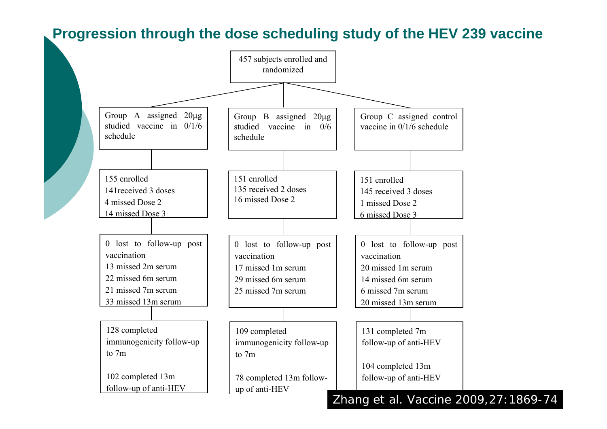#### **Progression through the dose scheduling study of the HEV 239 vaccine**

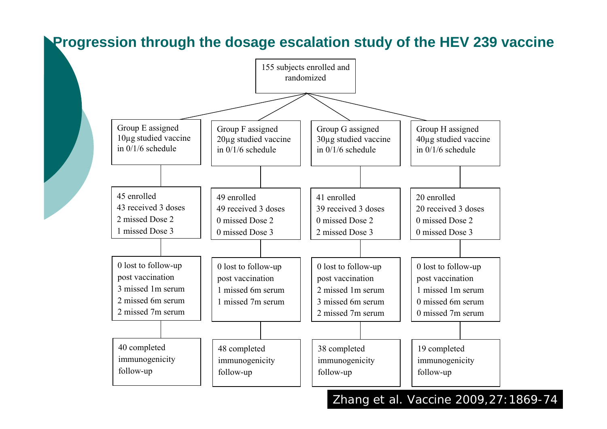#### **Progression through the dosage escalation study of the HEV 239 vaccine**

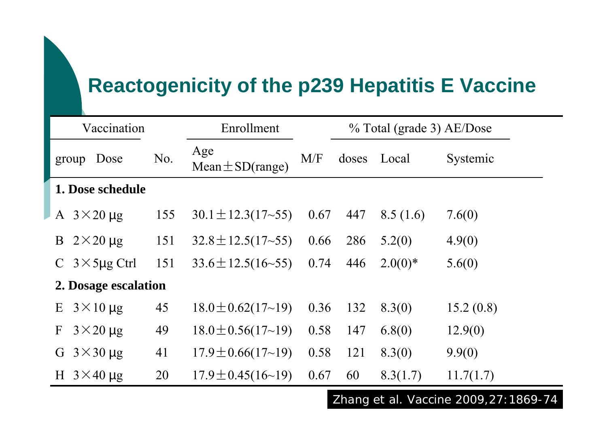### **Reactogenicity of the p239 Hepatitis E Vaccine**

| Vaccination                           |     | Enrollment                  |      |       | % Total (grade 3) AE/Dose |           |  |  |
|---------------------------------------|-----|-----------------------------|------|-------|---------------------------|-----------|--|--|
| Dose<br>group                         | No. | Age<br>Mean $\pm$ SD(range) | M/F  | doses | Local                     | Systemic  |  |  |
| 1. Dose schedule                      |     |                             |      |       |                           |           |  |  |
| A $3 \times 20 \mu$ g                 | 155 | $30.1 \pm 12.3(17 - 55)$    | 0.67 | 447   | 8.5(1.6)                  | 7.6(0)    |  |  |
| $2\times20 \,\mu g$<br>B              | 151 | $32.8 \pm 12.5(17 - 55)$    | 0.66 | 286   | 5.2(0)                    | 4.9(0)    |  |  |
| $3 \times 5$ µg Ctrl<br>$\mathcal{C}$ | 151 | $33.6 \pm 12.5(16 - 55)$    | 0.74 | 446   | $2.0(0)*$                 | 5.6(0)    |  |  |
| 2. Dosage escalation                  |     |                             |      |       |                           |           |  |  |
| $3 \times 10 \mu$ g<br>E              | 45  | $18.0 \pm 0.62(17 \sim 19)$ | 0.36 | 132   | 8.3(0)                    | 15.2(0.8) |  |  |
| $3\times20 \,\mu g$<br>$\mathbf{F}$   | 49  | $18.0 \pm 0.56(17{\sim}19)$ | 0.58 | 147   | 6.8(0)                    | 12.9(0)   |  |  |
| $3\times30 \,\mu g$<br>G              | 41  | $17.9 \pm 0.66(17{\sim}19)$ | 0.58 | 121   | 8.3(0)                    | 9.9(0)    |  |  |
| H $3\times40 \,\mu g$                 | 20  | $17.9 \pm 0.45(16 \sim 19)$ | 0.67 | 60    | 8.3(1.7)                  | 11.7(1.7) |  |  |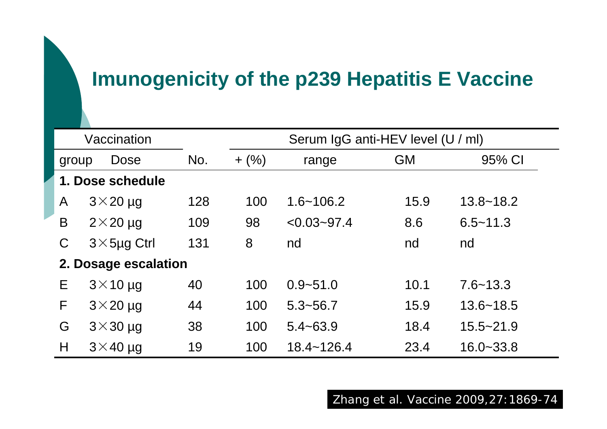### **Imunogenicity of the p239 Hepatitis E Vaccine**

| Vaccination          |                    |     | Serum IgG anti-HEV level (U / ml) |                 |           |               |  |  |
|----------------------|--------------------|-----|-----------------------------------|-----------------|-----------|---------------|--|--|
| group                | Dose               | No. | $+$ (%)                           | range           | <b>GM</b> | 95% CI        |  |  |
| 1. Dose schedule     |                    |     |                                   |                 |           |               |  |  |
| A                    | $3\times20$ µg     | 128 | 100                               | $1.6 - 106.2$   | 15.9      | $13.8 - 18.2$ |  |  |
| B                    | $2\times 20$ µg    | 109 | 98                                | $< 0.03 - 97.4$ | 8.6       | $6.5 - 11.3$  |  |  |
| C                    | $3\times$ 5µg Ctrl | 131 | 8                                 | nd              | nd        | nd            |  |  |
| 2. Dosage escalation |                    |     |                                   |                 |           |               |  |  |
| E                    | $3\times$ 10 µg    | 40  | 100                               | $0.9 - 51.0$    | 10.1      | $7.6 - 13.3$  |  |  |
| F                    | $3\times 20$ µg    | 44  | 100                               | $5.3 - 56.7$    | 15.9      | $13.6 - 18.5$ |  |  |
| G                    | $3\times30$ µg     | 38  | 100                               | $5.4 - 63.9$    | 18.4      | $15.5 - 21.9$ |  |  |
| H                    | $3\times$ 40 µg    | 19  | 100                               | $18.4 - 126.4$  | 23.4      | $16.0 - 33.8$ |  |  |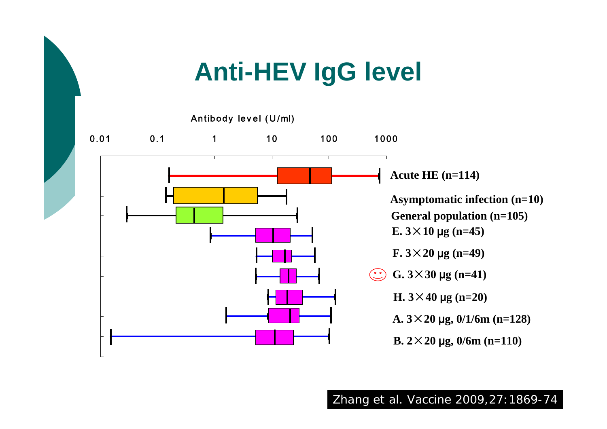## **Anti-HEV IgG level**

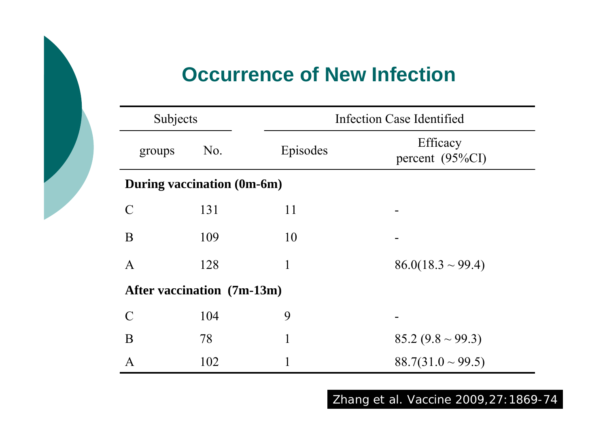### **Occurrence of New Infection**

| Subjects                   |     | <b>Infection Case Identified</b> |                                |  |  |  |  |  |
|----------------------------|-----|----------------------------------|--------------------------------|--|--|--|--|--|
| groups                     | No. | Episodes                         | Efficacy<br>percent $(95\%CI)$ |  |  |  |  |  |
| During vaccination (0m-6m) |     |                                  |                                |  |  |  |  |  |
| $\mathcal{C}$              | 131 | 11                               |                                |  |  |  |  |  |
| B                          | 109 | 10                               |                                |  |  |  |  |  |
| A                          | 128 |                                  | $86.0(18.3 \sim 99.4)$         |  |  |  |  |  |
| After vaccination (7m-13m) |     |                                  |                                |  |  |  |  |  |
| $\mathcal{C}$              | 104 | 9                                |                                |  |  |  |  |  |
| B                          | 78  | 1                                | $85.2 (9.8 \sim 99.3)$         |  |  |  |  |  |
| A                          | 102 |                                  | $88.7(31.0 \sim 99.5)$         |  |  |  |  |  |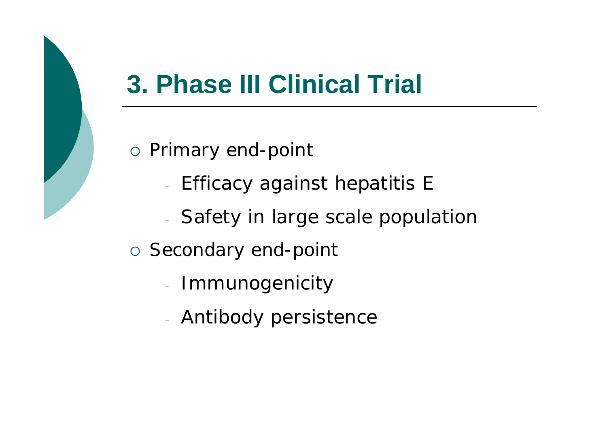### **3. Phase III Clinical Trial**

o Primary end-point

- Efficacy against hepatitis E
- Safety in large scale population
- o Secondary end-point
	- Immunogenicity
	- Antibody persistence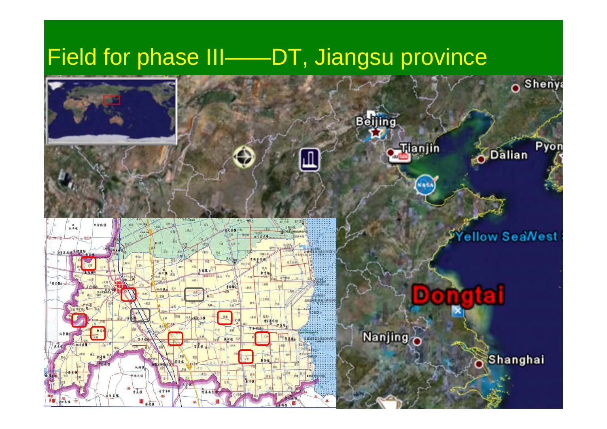### Field for phase III——DT, Jiangsu province







ellow SeaWest

ieil

**ADalian** 

**Shenya** 

Pyon

**Nanjing** 

в

Shanghai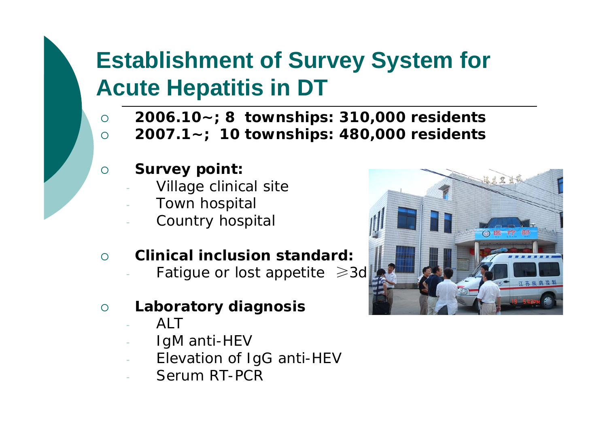### **Establishment of Survey System for Acute Hepatitis in DT**

- $\Omega$ **2006.10~; 8 townships: 310,000 residents**
- $\Omega$ **2007.1~; 10 townships: 480,000 residents**
- ${\bigcirc}$  **Survey point:**
	- Village clinical site
	- Town hospital
	- Country hospital
- $\bigcap$  **Clinical inclusion standard:** 
	- Fatigue or lost appetite ≥3d
- ${\bigcirc}$  **Laboratory diagnosis**
	- ALT
	- IgM anti-HEV
	- Elevation of IgG anti-HEV
	- Serum RT-PCR

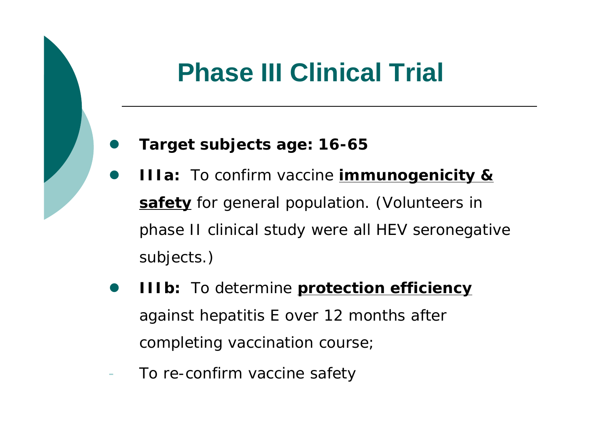## **Phase III Clinical Trial**

#### $\bullet$ **Target subjects age: 16-65**

- $\bullet$  **IIIa:** To confirm vaccine **immunogenicity & safety** for general population. (Volunteers in phase II clinical study were all HEV seronegative subjects.)
- $\bullet$  **IIIb:** To determine **protection efficiency** against hepatitis E over 12 months after completing vaccination course;
- To re-confirm vaccine safety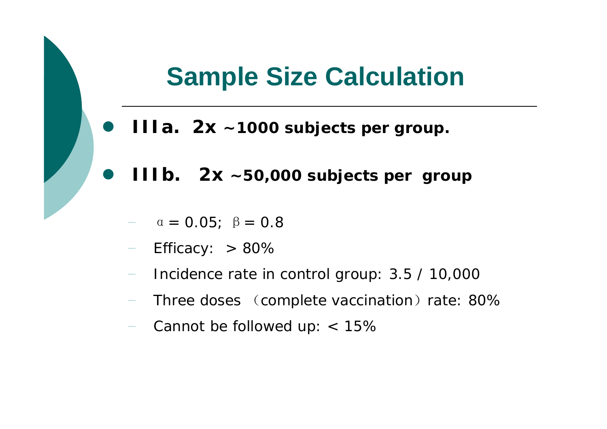### **Sample Size Calculation**

- $\bullet$ **IIIa. 2x ~1000 subjects per group.**
- $\bullet$  **IIIb. 2x ~50,000 subjects per group**
	- $\alpha = 0.05; \ \beta = 0.8$
	- −Efficacy:  $> 80\%$
	- Incidence rate in control group: 3.5 / 10,000
	- −Three doses (complete vaccination) rate: 80%
	- −Cannot be followed up: < 15%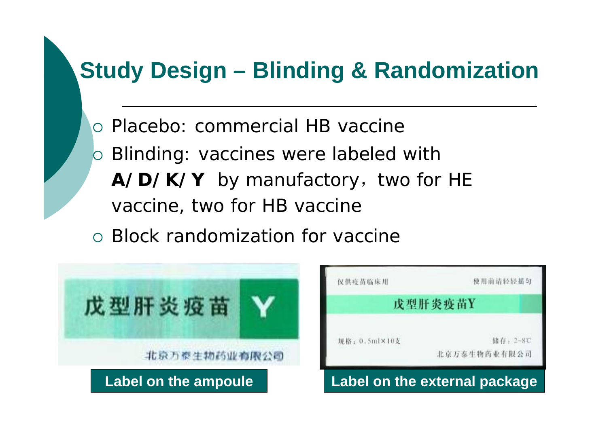### **Study Design – Blinding & Randomization**

- { Placebo: commercial HB vaccine
- **b Blinding: vaccines were labeled with** A/D/K/Y by manufactory, two for HE vaccine, two for HB vaccine
- { Block randomization for vaccine